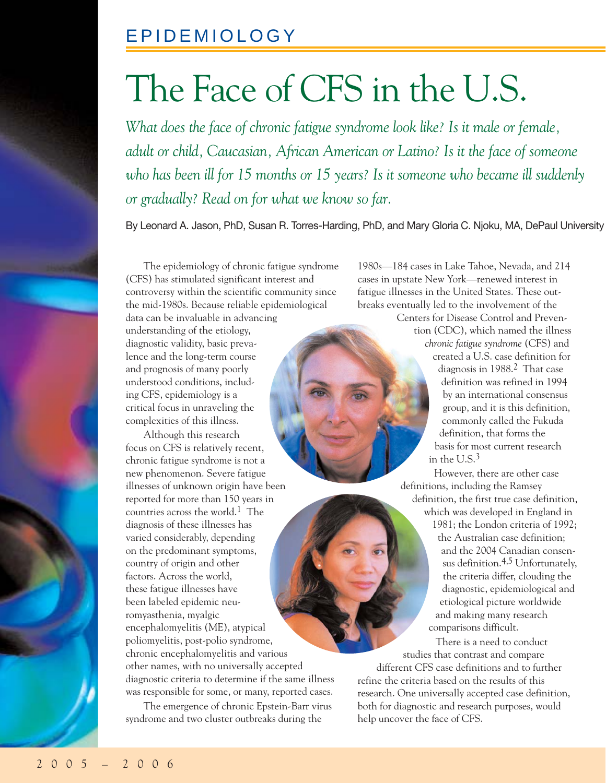# The Face of CFS in the U.S.

*What does the face of chronic fatigue syndrome look like? Is it male or female, adult or child, Caucasian, African American or Latino? Is it the face of someone who has been ill for 15 months or 15 years? Is it someone who became ill suddenly or gradually? Read on for what we know so far.*

By Leonard A. Jason, PhD, Susan R. Torres-Harding, PhD, and Mary Gloria C. Njoku, MA, DePaul University

The epidemiology of chronic fatigue syndrome (CFS) has stimulated significant interest and controversy within the scientific community since the mid-1980s. Because reliable epidemiological data can be invaluable in advancing

understanding of the etiology, diagnostic validity, basic prevalence and the long-term course and prognosis of many poorly understood conditions, including CFS, epidemiology is a critical focus in unraveling the complexities of this illness.

Although this research focus on CFS is relatively recent, chronic fatigue syndrome is not a new phenomenon. Severe fatigue illnesses of unknown origin have been reported for more than 150 years in countries across the world.1 The diagnosis of these illnesses has varied considerably, depending on the predominant symptoms, country of origin and other factors. Across the world, these fatigue illnesses have been labeled epidemic neuromyasthenia, myalgic encephalomyelitis (ME), atypical poliomyelitis, post-polio syndrome, chronic encephalomyelitis and various other names, with no universally accepted diagnostic criteria to determine if the same illness was responsible for some, or many, reported cases.

The emergence of chronic Epstein-Barr virus syndrome and two cluster outbreaks during the

1980s—184 cases in Lake Tahoe, Nevada, and 214 cases in upstate New York—renewed interest in fatigue illnesses in the United States. These outbreaks eventually led to the involvement of the Centers for Disease Control and Preven-

tion (CDC), which named the illness *chronic fatigue syndrome* (CFS) and created a U.S. case definition for diagnosis in 1988.2 That case definition was refined in 1994 by an international consensus group, and it is this definition, commonly called the Fukuda definition, that forms the basis for most current research in the U.S.3

However, there are other case definitions, including the Ramsey definition, the first true case definition, which was developed in England in 1981; the London criteria of 1992; the Australian case definition; and the 2004 Canadian consensus definition.4,5 Unfortunately, the criteria differ, clouding the diagnostic, epidemiological and etiological picture worldwide and making many research comparisons difficult.

There is a need to conduct studies that contrast and compare different CFS case definitions and to further refine the criteria based on the results of this research. One universally accepted case definition, both for diagnostic and research purposes, would help uncover the face of CFS.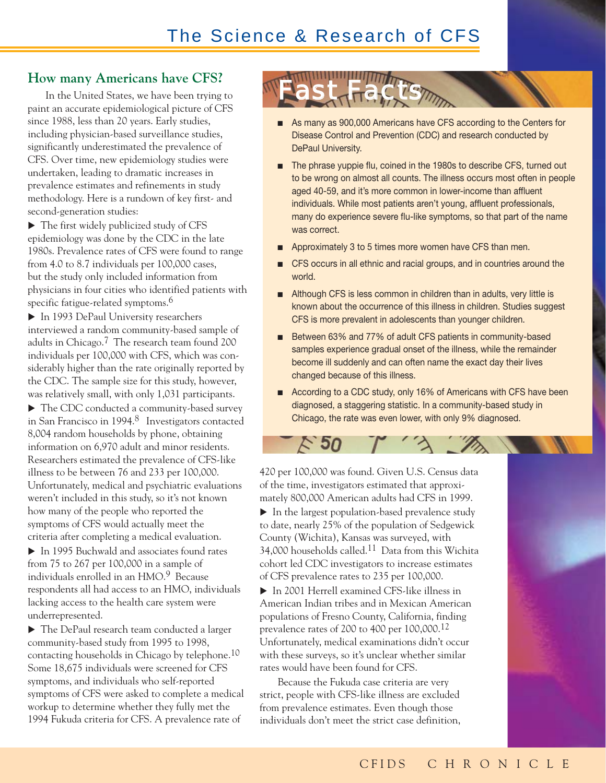#### **How many Americans have CFS?**

In the United States, we have been trying to paint an accurate epidemiological picture of CFS since 1988, less than 20 years. Early studies, including physician-based surveillance studies, significantly underestimated the prevalence of CFS. Over time, new epidemiology studies were undertaken, leading to dramatic increases in prevalence estimates and refinements in study methodology. Here is a rundown of key first- and second-generation studies:

 $\blacktriangleright$  The first widely publicized study of CFS epidemiology was done by the CDC in the late 1980s. Prevalence rates of CFS were found to range from 4.0 to 8.7 individuals per 100,000 cases, but the study only included information from physicians in four cities who identified patients with specific fatigue-related symptoms.<sup>6</sup>

In 1993 DePaul University researchers interviewed a random community-based sample of adults in Chicago.7 The research team found 200 individuals per 100,000 with CFS, which was considerably higher than the rate originally reported by the CDC. The sample size for this study, however, was relatively small, with only 1,031 participants.

▶ The CDC conducted a community-based survey in San Francisco in 1994.<sup>8</sup> Investigators contacted 8,004 random households by phone, obtaining information on 6,970 adult and minor residents. Researchers estimated the prevalence of CFS-like illness to be between 76 and 233 per 100,000. Unfortunately, medical and psychiatric evaluations weren't included in this study, so it's not known how many of the people who reported the symptoms of CFS would actually meet the criteria after completing a medical evaluation.

 $\blacktriangleright$  In 1995 Buchwald and associates found rates from 75 to 267 per 100,000 in a sample of individuals enrolled in an HMO.9 Because respondents all had access to an HMO, individuals lacking access to the health care system were underrepresented.

▶ The DePaul research team conducted a larger community-based study from 1995 to 1998, contacting households in Chicago by telephone.10 Some 18,675 individuals were screened for CFS symptoms, and individuals who self-reported symptoms of CFS were asked to complete a medical workup to determine whether they fully met the 1994 Fukuda criteria for CFS. A prevalence rate of

Fast Facts

- As many as 900,000 Americans have CFS according to the Centers for Disease Control and Prevention (CDC) and research conducted by DePaul University.
- The phrase yuppie flu, coined in the 1980s to describe CFS, turned out to be wrong on almost all counts. The illness occurs most often in people aged 40-59, and it's more common in lower-income than affluent individuals. While most patients aren't young, affluent professionals, many do experience severe flu-like symptoms, so that part of the name was correct.
- Approximately 3 to 5 times more women have CFS than men.
- CFS occurs in all ethnic and racial groups, and in countries around the world.
- Although CFS is less common in children than in adults, very little is known about the occurrence of this illness in children. Studies suggest CFS is more prevalent in adolescents than younger children.
- Between 63% and 77% of adult CFS patients in community-based samples experience gradual onset of the illness, while the remainder become ill suddenly and can often name the exact day their lives changed because of this illness.
- According to a CDC study, only 16% of Americans with CFS have been diagnosed, a staggering statistic. In a community-based study in Chicago, the rate was even lower, with only 9% diagnosed.



 $50^{\circ}$ 

 $\blacktriangleright$  In the largest population-based prevalence study to date, nearly 25% of the population of Sedgewick County (Wichita), Kansas was surveyed, with 34,000 households called.11 Data from this Wichita cohort led CDC investigators to increase estimates of CFS prevalence rates to 235 per 100,000.

▶ In 2001 Herrell examined CFS-like illness in American Indian tribes and in Mexican American populations of Fresno County, California, finding prevalence rates of 200 to 400 per 100,000.12 Unfortunately, medical examinations didn't occur with these surveys, so it's unclear whether similar rates would have been found for CFS.

Because the Fukuda case criteria are very strict, people with CFS-like illness are excluded from prevalence estimates. Even though those individuals don't meet the strict case definition,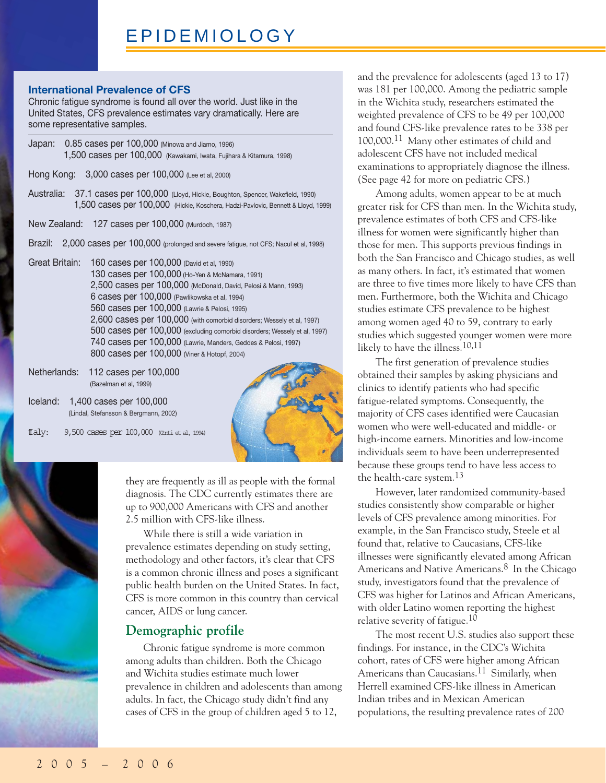#### **International Prevalence of CFS**

Chronic fatigue syndrome is found all over the world. Just like in the United States, CFS prevalence estimates vary dramatically. Here are some representative samples.

|                | Japan: 0.85 cases per 100,000 (Minowa and Jiamo, 1996)<br>1,500 cases per 100,000 (Kawakami, Iwata, Fujihara & Kitamura, 1998)                                                                                                                                                                                                                                                                                                                                                                                                            |
|----------------|-------------------------------------------------------------------------------------------------------------------------------------------------------------------------------------------------------------------------------------------------------------------------------------------------------------------------------------------------------------------------------------------------------------------------------------------------------------------------------------------------------------------------------------------|
|                | Hong Kong: 3,000 cases per 100,000 (Lee et al, 2000)                                                                                                                                                                                                                                                                                                                                                                                                                                                                                      |
|                | Australia: 37.1 cases per 100,000 (Lloyd, Hickie, Boughton, Spencer, Wakefield, 1990)<br>1,500 cases per 100,000 (Hickie, Koschera, Hadzi-Pavlovic, Bennett & Lloyd, 1999)                                                                                                                                                                                                                                                                                                                                                                |
|                | New Zealand: 127 cases per 100,000 (Murdoch, 1987)                                                                                                                                                                                                                                                                                                                                                                                                                                                                                        |
|                | Brazil: 2,000 cases per 100,000 (prolonged and severe fatigue, not CFS; Nacul et al, 1998)                                                                                                                                                                                                                                                                                                                                                                                                                                                |
| Great Britain: | 160 cases per 100,000 (David et al, 1990)<br>130 cases per 100,000 (Ho-Yen & McNamara, 1991)<br>2,500 cases per 100,000 (McDonald, David, Pelosi & Mann, 1993)<br>6 cases per 100,000 (Pawlikowska et al, 1994)<br>560 cases per 100,000 (Lawrie & Pelosi, 1995)<br>2,600 cases per 100,000 (with comorbid disorders; Wessely et al, 1997)<br>500 cases per 100,000 (excluding comorbid disorders; Wessely et al, 1997)<br>740 cases per 100,000 (Lawrie, Manders, Geddes & Pelosi, 1997)<br>800 cases per 100,000 (Viner & Hotopf, 2004) |
|                |                                                                                                                                                                                                                                                                                                                                                                                                                                                                                                                                           |

Netherlands: 112 cases per 100,000 (Bazelman et al, 1999)

Iceland: 1,400 cases per 100,000 (Lindal, Stefansson & Bergmann, 2002)

 $\text{tlay: } 9,500$  cases per  $100,000$  (Conti et al, 1994)



they are frequently as ill as people with the formal diagnosis. The CDC currently estimates there are up to 900,000 Americans with CFS and another 2.5 million with CFS-like illness.

While there is still a wide variation in prevalence estimates depending on study setting, methodology and other factors, it's clear that CFS is a common chronic illness and poses a significant public health burden on the United States. In fact, CFS is more common in this country than cervical cancer, AIDS or lung cancer.

#### **Demographic profile**

Chronic fatigue syndrome is more common among adults than children. Both the Chicago and Wichita studies estimate much lower prevalence in children and adolescents than among adults. In fact, the Chicago study didn't find any cases of CFS in the group of children aged 5 to 12,

and the prevalence for adolescents (aged 13 to 17) was 181 per 100,000. Among the pediatric sample in the Wichita study, researchers estimated the weighted prevalence of CFS to be 49 per 100,000 and found CFS-like prevalence rates to be 338 per 100,000.11 Many other estimates of child and adolescent CFS have not included medical examinations to appropriately diagnose the illness. (See page 42 for more on pediatric CFS.)

Among adults, women appear to be at much greater risk for CFS than men. In the Wichita study, prevalence estimates of both CFS and CFS-like illness for women were significantly higher than those for men. This supports previous findings in both the San Francisco and Chicago studies, as well as many others. In fact, it's estimated that women are three to five times more likely to have CFS than men. Furthermore, both the Wichita and Chicago studies estimate CFS prevalence to be highest among women aged 40 to 59, contrary to early studies which suggested younger women were more likely to have the illness.10,11

The first generation of prevalence studies obtained their samples by asking physicians and clinics to identify patients who had specific fatigue-related symptoms. Consequently, the majority of CFS cases identified were Caucasian women who were well-educated and middle- or high-income earners. Minorities and low-income individuals seem to have been underrepresented because these groups tend to have less access to the health-care system.13

However, later randomized community-based studies consistently show comparable or higher levels of CFS prevalence among minorities. For example, in the San Francisco study, Steele et al found that, relative to Caucasians, CFS-like illnesses were significantly elevated among African Americans and Native Americans.<sup>8</sup> In the Chicago study, investigators found that the prevalence of CFS was higher for Latinos and African Americans, with older Latino women reporting the highest relative severity of fatigue.10

The most recent U.S. studies also support these findings. For instance, in the CDC's Wichita cohort, rates of CFS were higher among African Americans than Caucasians.11 Similarly, when Herrell examined CFS-like illness in American Indian tribes and in Mexican American populations, the resulting prevalence rates of 200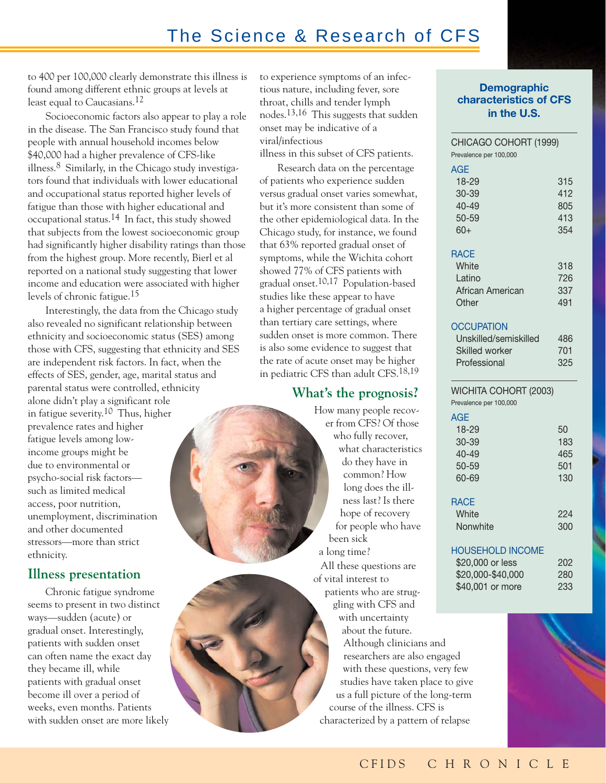## The Science & Research of CFS

to 400 per 100,000 clearly demonstrate this illness is found among different ethnic groups at levels at least equal to Caucasians.<sup>12</sup>

Socioeconomic factors also appear to play a role in the disease. The San Francisco study found that people with annual household incomes below \$40,000 had a higher prevalence of CFS-like illness. $8$  Similarly, in the Chicago study investigators found that individuals with lower educational and occupational status reported higher levels of fatigue than those with higher educational and occupational status.14 In fact, this study showed that subjects from the lowest socioeconomic group had significantly higher disability ratings than those from the highest group. More recently, Bierl et al reported on a national study suggesting that lower income and education were associated with higher levels of chronic fatigue.15

Interestingly, the data from the Chicago study also revealed no significant relationship between ethnicity and socioeconomic status (SES) among those with CFS, suggesting that ethnicity and SES are independent risk factors. In fact, when the effects of SES, gender, age, marital status and parental status were controlled, ethnicity alone didn't play a significant role in fatigue severity.10 Thus, higher prevalence rates and higher fatigue levels among lowincome groups might be due to environmental or psycho-social risk factors such as limited medical access, poor nutrition, unemployment, discrimination and other documented stressors—more than strict ethnicity.

#### **Illness presentation**

Chronic fatigue syndrome seems to present in two distinct ways—sudden (acute) or gradual onset. Interestingly, patients with sudden onset can often name the exact day they became ill, while patients with gradual onset become ill over a period of weeks, even months. Patients with sudden onset are more likely to experience symptoms of an infectious nature, including fever, sore throat, chills and tender lymph nodes.13,16 This suggests that sudden onset may be indicative of a viral/infectious

illness in this subset of CFS patients.

Research data on the percentage of patients who experience sudden versus gradual onset varies somewhat, but it's more consistent than some of the other epidemiological data. In the Chicago study, for instance, we found that 63% reported gradual onset of symptoms, while the Wichita cohort showed 77% of CFS patients with gradual onset.10,17 Population-based studies like these appear to have a higher percentage of gradual onset than tertiary care settings, where sudden onset is more common. There is also some evidence to suggest that the rate of acute onset may be higher in pediatric CFS than adult CFS.18,19

#### **What's the prognosis?**

How many people recover from CFS? Of those who fully recover, what characteristics do they have in common? How long does the illness last? Is there hope of recovery for people who have been sick a long time? All these questions are of vital interest to patients who are struggling with CFS and with uncertainty about the future. Although clinicians and researchers are also engaged with these questions, very few studies have taken place to give us a full picture of the long-term

course of the illness. CFS is characterized by a pattern of relapse

#### **Demographic characteristics of CFS in the U.S.**

| CHICAGO COHORT (1999)<br>Prevalence per 100,000                                      |                                 |
|--------------------------------------------------------------------------------------|---------------------------------|
| AGE<br>18-29<br>30-39<br>$40 - 49$<br>50-59<br>$60+$                                 | 315<br>412<br>805<br>413<br>354 |
| <b>RACE</b><br>White<br>Latino<br>African American<br>Other                          | 318<br>726<br>337<br>491        |
| <b>OCCUPATION</b><br>Unskilled/semiskilled<br><b>Skilled worker</b><br>Professional  | 486<br>701<br>325               |
| WICHITA COHORT (2003)<br>Prevalence per 100,000                                      |                                 |
| AGE<br>18-29<br>30-39<br>$40 - 49$<br>50-59<br>60-69                                 | 50<br>183<br>465<br>501<br>130  |
| RACE<br>White<br>Nonwhite                                                            | 224<br>300                      |
| <b>HOUSEHOLD INCOME</b><br>\$20,000 or less<br>\$20,000-\$40,000<br>\$40,001 or more | 202<br>280<br>233               |
|                                                                                      |                                 |

 $\overline{R}$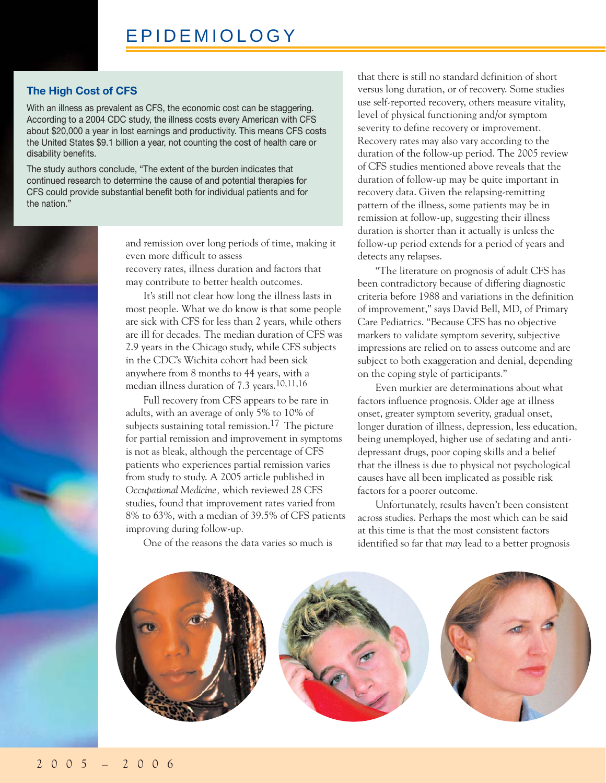#### **The High Cost of CFS**

With an illness as prevalent as CFS, the economic cost can be staggering. According to a 2004 CDC study, the illness costs every American with CFS about \$20,000 a year in lost earnings and productivity. This means CFS costs the United States \$9.1 billion a year, not counting the cost of health care or disability benefits.

The study authors conclude, "The extent of the burden indicates that continued research to determine the cause of and potential therapies for CFS could provide substantial benefit both for individual patients and for the nation."



and remission over long periods of time, making it even more difficult to assess recovery rates, illness duration and factors that may contribute to better health outcomes.

It's still not clear how long the illness lasts in most people. What we do know is that some people are sick with CFS for less than 2 years, while others are ill for decades. The median duration of CFS was 2.9 years in the Chicago study, while CFS subjects in the CDC's Wichita cohort had been sick anywhere from 8 months to 44 years, with a median illness duration of 7.3 years.10,11,16

Full recovery from CFS appears to be rare in adults, with an average of only 5% to 10% of subjects sustaining total remission.<sup>17</sup> The picture for partial remission and improvement in symptoms is not as bleak, although the percentage of CFS patients who experiences partial remission varies from study to study. A 2005 article published in *Occupational Medicine,* which reviewed 28 CFS studies, found that improvement rates varied from 8% to 63%, with a median of 39.5% of CFS patients improving during follow-up.

One of the reasons the data varies so much is

that there is still no standard definition of short versus long duration, or of recovery. Some studies use self-reported recovery, others measure vitality, level of physical functioning and/or symptom severity to define recovery or improvement. Recovery rates may also vary according to the duration of the follow-up period. The 2005 review of CFS studies mentioned above reveals that the duration of follow-up may be quite important in recovery data. Given the relapsing-remitting pattern of the illness, some patients may be in remission at follow-up, suggesting their illness duration is shorter than it actually is unless the follow-up period extends for a period of years and detects any relapses.

"The literature on prognosis of adult CFS has been contradictory because of differing diagnostic criteria before 1988 and variations in the definition of improvement," says David Bell, MD, of Primary Care Pediatrics. "Because CFS has no objective markers to validate symptom severity, subjective impressions are relied on to assess outcome and are subject to both exaggeration and denial, depending on the coping style of participants."

Even murkier are determinations about what factors influence prognosis. Older age at illness onset, greater symptom severity, gradual onset, longer duration of illness, depression, less education, being unemployed, higher use of sedating and antidepressant drugs, poor coping skills and a belief that the illness is due to physical not psychological causes have all been implicated as possible risk factors for a poorer outcome.

Unfortunately, results haven't been consistent across studies. Perhaps the most which can be said at this time is that the most consistent factors identified so far that *may* lead to a better prognosis

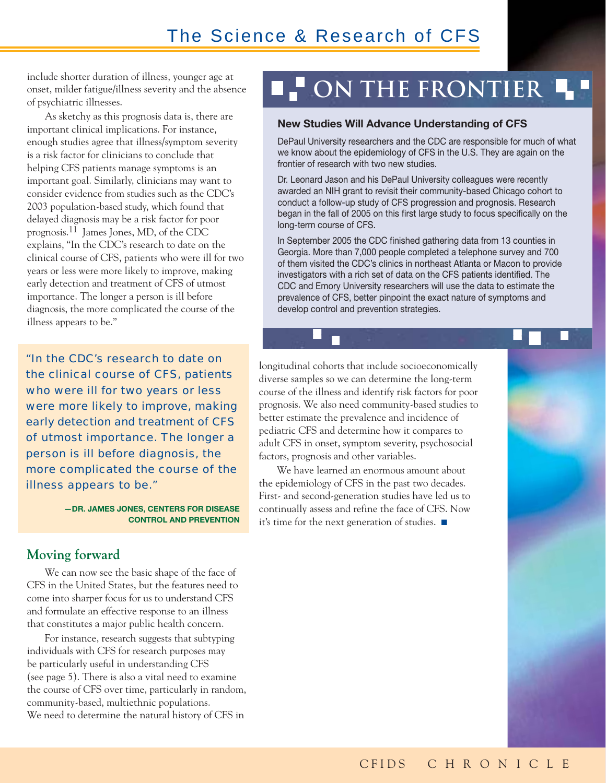include shorter duration of illness, younger age at onset, milder fatigue/illness severity and the absence of psychiatric illnesses.

As sketchy as this prognosis data is, there are important clinical implications. For instance, enough studies agree that illness/symptom severity is a risk factor for clinicians to conclude that helping CFS patients manage symptoms is an important goal. Similarly, clinicians may want to consider evidence from studies such as the CDC's 2003 population-based study, which found that delayed diagnosis may be a risk factor for poor prognosis.11 James Jones, MD, of the CDC explains, "In the CDC's research to date on the clinical course of CFS, patients who were ill for two years or less were more likely to improve, making early detection and treatment of CFS of utmost importance. The longer a person is ill before diagnosis, the more complicated the course of the illness appears to be."

"In the CDC's research to date on the clinical course of CFS, patients who were ill for two years or less were more likely to improve, making early detection and treatment of CFS of utmost importance. The longer a person is ill before diagnosis, the more complicated the course of the illness appears to be."

> **—DR. JAMES JONES, CENTERS FOR DISEASE CONTROL AND PREVENTION**

#### **Moving forward**

We can now see the basic shape of the face of CFS in the United States, but the features need to come into sharper focus for us to understand CFS and formulate an effective response to an illness that constitutes a major public health concern.

For instance, research suggests that subtyping individuals with CFS for research purposes may be particularly useful in understanding CFS (see page 5). There is also a vital need to examine the course of CFS over time, particularly in random, community-based, multiethnic populations. We need to determine the natural history of CFS in

## **ON THE FRONTIER 4**

#### **New Studies Will Advance Understanding of CFS**

DePaul University researchers and the CDC are responsible for much of what we know about the epidemiology of CFS in the U.S. They are again on the frontier of research with two new studies.

Dr. Leonard Jason and his DePaul University colleagues were recently awarded an NIH grant to revisit their community-based Chicago cohort to conduct a follow-up study of CFS progression and prognosis. Research began in the fall of 2005 on this first large study to focus specifically on the long-term course of CFS.

In September 2005 the CDC finished gathering data from 13 counties in Georgia. More than 7,000 people completed a telephone survey and 700 of them visited the CDC's clinics in northeast Atlanta or Macon to provide investigators with a rich set of data on the CFS patients identified. The CDC and Emory University researchers will use the data to estimate the prevalence of CFS, better pinpoint the exact nature of symptoms and develop control and prevention strategies.

longitudinal cohorts that include socioeconomically diverse samples so we can determine the long-term course of the illness and identify risk factors for poor prognosis. We also need community-based studies to better estimate the prevalence and incidence of pediatric CFS and determine how it compares to adult CFS in onset, symptom severity, psychosocial factors, prognosis and other variables.

We have learned an enormous amount about the epidemiology of CFS in the past two decades. First- and second-generation studies have led us to continually assess and refine the face of CFS. Now it's time for the next generation of studies. ■